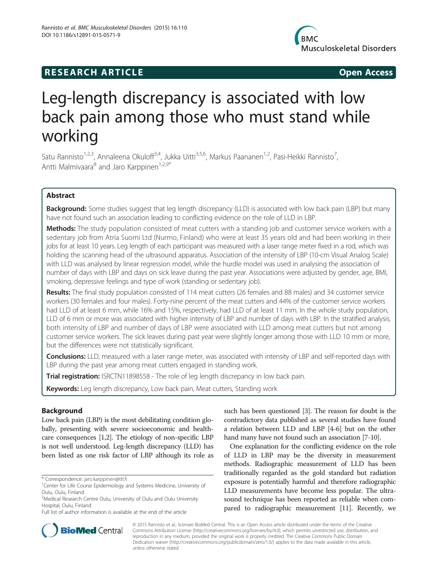# **RESEARCH ARTICLE Example 2014 CONSIDERING CONSIDERING CONSIDERING CONSIDERING CONSIDERING CONSIDERING CONSIDERING CONSIDERING CONSIDERING CONSIDERING CONSIDERING CONSIDERING CONSIDERING CONSIDERING CONSIDERING CONSIDE**



# Leg-length discrepancy is associated with low back pain among those who must stand while working

Satu Rannisto<sup>1,2,3</sup>, Annaleena Okuloff<sup>3,4</sup>, Jukka Uitti<sup>3,5,6</sup>, Markus Paananen<sup>1,2</sup>, Pasi-Heikki Rannisto<sup>7</sup>, , Antti Malmivaara<sup>8</sup> and Jaro Karppinen<sup>1,2,9\*</sup>

# Abstract

Background: Some studies suggest that leg length discrepancy (LLD) is associated with low back pain (LBP) but many have not found such an association leading to conflicting evidence on the role of LLD in LBP.

Methods: The study population consisted of meat cutters with a standing job and customer service workers with a sedentary job from Atria Suomi Ltd (Nurmo, Finland) who were at least 35 years old and had been working in their jobs for at least 10 years. Leg length of each participant was measured with a laser range meter fixed in a rod, which was holding the scanning head of the ultrasound apparatus. Association of the intensity of LBP (10-cm Visual Analog Scale) with LLD was analysed by linear regression model, while the hurdle model was used in analysing the association of number of days with LBP and days on sick leave during the past year. Associations were adjusted by gender, age, BMI, smoking, depressive feelings and type of work (standing or sedentary job).

Results: The final study population consisted of 114 meat cutters (26 females and 88 males) and 34 customer service workers (30 females and four males). Forty-nine percent of the meat cutters and 44% of the customer service workers had LLD of at least 6 mm, while 16% and 15%, respectively, had LLD of at least 11 mm. In the whole study population, LLD of 6 mm or more was associated with higher intensity of LBP and number of days with LBP. In the stratified analysis, both intensity of LBP and number of days of LBP were associated with LLD among meat cutters but not among customer service workers. The sick leaves during past year were slightly longer among those with LLD 10 mm or more, but the differences were not statistically significant.

Conclusions: LLD, measured with a laser range meter, was associated with intensity of LBP and self-reported days with LBP during the past year among meat cutters engaged in standing work.

Trial registration: [ISRCTN11898558](http://www.isrctn.com/ISRCTN11898558) - The role of leg length discrepancy in low back pain.

Keywords: Leg length discrepancy, Low back pain, Meat cutters, Standing work

# Background

Low back pain (LBP) is the most debilitating condition globally, presenting with severe socioeconomic and healthcare consequences [\[1](#page-5-0)[,2\]](#page-6-0). The etiology of non-specific LBP is not well understood. Leg-length discrepancy (LLD) has been listed as one risk factor of LBP although its role as

such has been questioned [\[3\]](#page-6-0). The reason for doubt is the contradictory data published as several studies have found a relation between LLD and LBP [[4-6\]](#page-6-0) but on the other hand many have not found such an association [[7-10](#page-6-0)].

One explanation for the conflicting evidence on the role of LLD in LBP may be the diversity in measurement methods. Radiographic measurement of LLD has been traditionally regarded as the gold standard but radiation exposure is potentially harmful and therefore radiographic LLD measurements have become less popular. The ultrasound technique has been reported as reliable when compared to radiographic measurement [\[11\]](#page-6-0). Recently, we



© 2015 Rannisto et al.; licensee BioMed Central. This is an Open Access article distributed under the terms of the Creative Commons Attribution License [\(http://creativecommons.org/licenses/by/4.0\)](http://creativecommons.org/licenses/by/4.0), which permits unrestricted use, distribution, and reproduction in any medium, provided the original work is properly credited. The Creative Commons Public Domain Dedication waiver [\(http://creativecommons.org/publicdomain/zero/1.0/](http://creativecommons.org/publicdomain/zero/1.0/)) applies to the data made available in this article, unless otherwise stated.

<sup>\*</sup> Correspondence: [jaro.karppinen@ttl.fi](mailto:jaro.karppinen@ttl.fi) <sup>1</sup>

<sup>&</sup>lt;sup>1</sup> Center for Life Course Epidemiology and Systems Medicine, University of Oulu, Oulu, Finland

<sup>&</sup>lt;sup>2</sup>Medical Research Centre Oulu, University of Oulu and Oulu University Hospital, Oulu, Finland

Full list of author information is available at the end of the article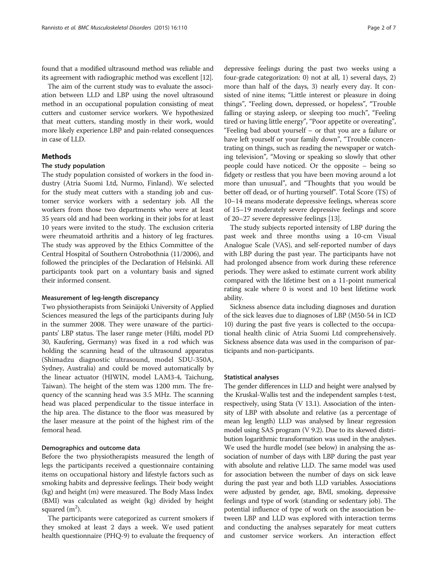found that a modified ultrasound method was reliable and its agreement with radiographic method was excellent [\[12\]](#page-6-0).

The aim of the current study was to evaluate the association between LLD and LBP using the novel ultrasound method in an occupational population consisting of meat cutters and customer service workers. We hypothesized that meat cutters, standing mostly in their work, would more likely experience LBP and pain-related consequences in case of LLD.

# Methods

# The study population

The study population consisted of workers in the food industry (Atria Suomi Ltd, Nurmo, Finland). We selected for the study meat cutters with a standing job and customer service workers with a sedentary job. All the workers from those two departments who were at least 35 years old and had been working in their jobs for at least 10 years were invited to the study. The exclusion criteria were rheumatoid arthritis and a history of leg fractures. The study was approved by the Ethics Committee of the Central Hospital of Southern Ostrobothnia (11/2006), and followed the principles of the Declaration of Helsinki. All participants took part on a voluntary basis and signed their informed consent.

#### Measurement of leg-length discrepancy

Two physiotherapists from Seinäjoki University of Applied Sciences measured the legs of the participants during July in the summer 2008. They were unaware of the participants' LBP status. The laser range meter (Hilti, model PD 30, Kaufering, Germany) was fixed in a rod which was holding the scanning head of the ultrasound apparatus (Shimadzu diagnostic ultrasound, model SDU-350A, Sydney, Australia) and could be moved automatically by the linear actuator (HIWIN, model LAM3-4, Taichung, Taiwan). The height of the stem was 1200 mm. The frequency of the scanning head was 3.5 MHz. The scanning head was placed perpendicular to the tissue interface in the hip area. The distance to the floor was measured by the laser measure at the point of the highest rim of the femoral head.

#### Demographics and outcome data

Before the two physiotherapists measured the length of legs the participants received a questionnaire containing items on occupational history and lifestyle factors such as smoking habits and depressive feelings. Their body weight (kg) and height (m) were measured. The Body Mass Index (BMI) was calculated as weight (kg) divided by height squared  $(m<sup>2</sup>)$ .

The participants were categorized as current smokers if they smoked at least 2 days a week. We used patient health questionnaire (PHQ-9) to evaluate the frequency of

depressive feelings during the past two weeks using a four-grade categorization: 0) not at all, 1) several days, 2) more than half of the days, 3) nearly every day. It consisted of nine items; "Little interest or pleasure in doing things", "Feeling down, depressed, or hopeless", "Trouble falling or staying asleep, or sleeping too much", "Feeling tired or having little energy", "Poor appetite or overeating", "Feeling bad about yourself – or that you are a failure or have left yourself or your family down", "Trouble concentrating on things, such as reading the newspaper or watching television", "Moving or speaking so slowly that other people could have noticed. Or the opposite – being so fidgety or restless that you have been moving around a lot more than unusual", and "Thoughts that you would be better off dead, or of hurting yourself". Total Score (TS) of 10–14 means moderate depressive feelings, whereas score of 15–19 moderately severe depressive feelings and score of 20–27 severe depressive feelings [[13](#page-6-0)].

The study subjects reported intensity of LBP during the past week and three months using a 10-cm Visual Analogue Scale (VAS), and self-reported number of days with LBP during the past year. The participants have not had prolonged absence from work during these reference periods. They were asked to estimate current work ability compared with the lifetime best on a 11-point numerical rating scale where 0 is worst and 10 best lifetime work ability.

Sickness absence data including diagnoses and duration of the sick leaves due to diagnoses of LBP (M50-54 in ICD 10) during the past five years is collected to the occupational health clinic of Atria Suomi Ltd comprehensively. Sickness absence data was used in the comparison of participants and non-participants.

#### Statistical analyses

The gender differences in LLD and height were analysed by the Kruskal-Wallis test and the independent samples t-test, respectively, using Stata (V 13.1). Association of the intensity of LBP with absolute and relative (as a percentage of mean leg length) LLD was analysed by linear regression model using SAS program (V 9.2). Due to its skewed distribution logarithmic transformation was used in the analyses. We used the hurdle model (see below) in analysing the association of number of days with LBP during the past year with absolute and relative LLD. The same model was used for association between the number of days on sick leave during the past year and both LLD variables. Associations were adjusted by gender, age, BMI, smoking, depressive feelings and type of work (standing or sedentary job). The potential influence of type of work on the association between LBP and LLD was explored with interaction terms and conducting the analyses separately for meat cutters and customer service workers. An interaction effect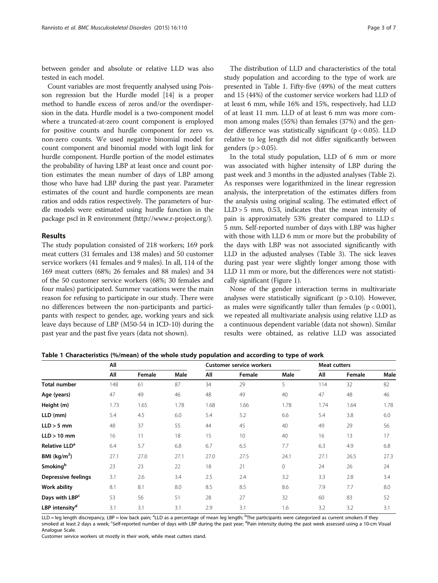between gender and absolute or relative LLD was also tested in each model.

Count variables are most frequently analysed using Poisson regression but the Hurdle model [[14](#page-6-0)] is a proper method to handle excess of zeros and/or the overdispersion in the data. Hurdle model is a two-component model where a truncated-at-zero count component is employed for positive counts and hurdle component for zero vs. non-zero counts. We used negative binomial model for count component and binomial model with logit link for hurdle component. Hurdle portion of the model estimates the probability of having LBP at least once and count portion estimates the mean number of days of LBP among those who have had LBP during the past year. Parameter estimates of the count and hurdle components are mean ratios and odds ratios respectively. The parameters of hurdle models were estimated using hurdle function in the package pscl in R environment ([http://www.r-project.org/\)](http://www.r-project.org/).

### Results

The study population consisted of 218 workers; 169 pork meat cutters (31 females and 138 males) and 50 customer service workers (41 females and 9 males). In all, 114 of the 169 meat cutters (68%; 26 females and 88 males) and 34 of the 50 customer service workers (68%; 30 females and four males) participated. Summer vacations were the main reason for refusing to participate in our study. There were no differences between the non-participants and participants with respect to gender, age, working years and sick leave days because of LBP (M50-54 in ICD-10) during the past year and the past five years (data not shown).

The distribution of LLD and characteristics of the total study population and according to the type of work are presented in Table 1. Fifty-five (49%) of the meat cutters and 15 (44%) of the customer service workers had LLD of at least 6 mm, while 16% and 15%, respectively, had LLD of at least 11 mm. LLD of at least 6 mm was more common among males (55%) than females (37%) and the gender difference was statistically significant ( $p < 0.05$ ). LLD relative to leg length did not differ significantly between genders ( $p > 0.05$ ).

In the total study population, LLD of 6 mm or more was associated with higher intensity of LBP during the past week and 3 months in the adjusted analyses (Table [2](#page-3-0)). As responses were logarithmized in the linear regression analysis, the interpretation of the estimates differs from the analysis using original scaling. The estimated effect of LLD > 5 mm, 0.53, indicates that the mean intensity of pain is approximately 53% greater compared to  $LLD \leq$ 5 mm. Self-reported number of days with LBP was higher with those with LLD 6 mm or more but the probability of the days with LBP was not associated significantly with LLD in the adjusted analyses (Table [3](#page-3-0)). The sick leaves during past year were slightly longer among those with LLD 11 mm or more, but the differences were not statistically significant (Figure [1\)](#page-4-0).

None of the gender interaction terms in multivariate analyses were statistically significant  $(p > 0.10)$ . However, as males were significantly taller than females  $(p < 0.001)$ , we repeated all multivariate analysis using relative LLD as a continuous dependent variable (data not shown). Similar results were obtained, as relative LLD was associated

|                           | All  |        |      | <b>Customer service workers</b> |        |      | <b>Meat cutters</b> |        |      |
|---------------------------|------|--------|------|---------------------------------|--------|------|---------------------|--------|------|
|                           |      |        |      |                                 |        |      |                     |        |      |
|                           | All  | Female | Male | All                             | Female | Male | All                 | Female | Male |
| Total number              | 148  | 61     | 87   | 34                              | 29     | 5    | 114                 | 32     | 82   |
| Age (years)               | 47   | 49     | 46   | 48                              | 49     | 40   | 47                  | 48     | 46   |
| Height (m)                | 1.73 | 1.65   | 1.78 | 1.68                            | 1.66   | 1.78 | 1.74                | 1.64   | 1.78 |
| LLD (mm)                  | 5.4  | 4.5    | 6.0  | 5.4                             | 5.2    | 6.6  | 5.4                 | 3.8    | 6.0  |
| $LLD > 5$ mm              | 48   | 37     | 55   | 44                              | 45     | 40   | 49                  | 29     | 56   |
| $LLD > 10$ mm             | 16   | 11     | 18   | 15                              | 10     | 40   | 16                  | 13     | 17   |
| Relative LLD <sup>a</sup> | 6.4  | 5.7    | 6.8  | 6.7                             | 6.5    | 7.7  | 6.3                 | 4.9    | 6.8  |
| BMI (kg/m <sup>2</sup> )  | 27.1 | 27.0   | 27.1 | 27.0                            | 27.5   | 24.1 | 27.1                | 26.5   | 27.3 |
| Smoking <sup>b</sup>      | 23   | 23     | 22   | 18                              | 21     | 0    | 24                  | 26     | 24   |
| Depressive feelings       | 3.1  | 2.6    | 3.4  | 2.5                             | 2.4    | 3.2  | 3.3                 | 2.8    | 3.4  |
| Work ability              | 8.1  | 8.1    | 8.0  | 8.5                             | 8.5    | 8.6  | 7.9                 | 7.7    | 8.0  |

Table 1 Characteristics (%/mean) of the whole study population and according to type of work

LLD = leg length discrepancy, LBP = low back pain; <sup>a</sup>LLD as a percentage of mean leg length; <sup>b</sup>The participants were categorized as current smokers if they smoked at least 2 days a week; <sup>c</sup>Self-reported number of days with LBP during the past year; <sup>d</sup>Pain intensity during the past week assessed using a 10-cm Visual Analogue Scale.

**Days with LBP<sup>c</sup> 53** 56 51 28 27 32 60 83 52 **LBP intensity<sup>d</sup>** 3.1 3.1 3.1 2.9 3.1 1.6 3.2 3.2 3.1

Customer service workers sit mostly in their work, while meat cutters stand.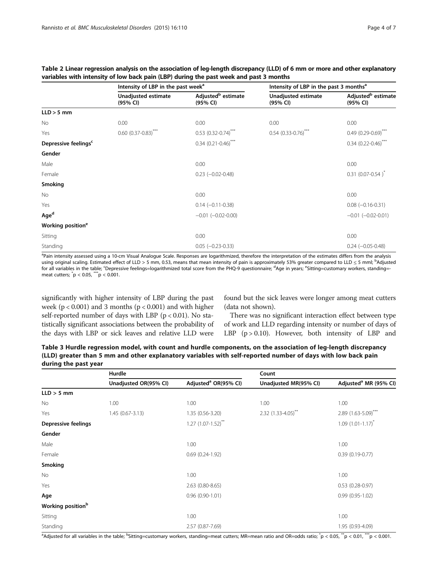|                                  | Intensity of LBP in the past week <sup>a</sup> |                                            | Intensity of LBP in the past 3 months <sup>a</sup> |                                            |  |
|----------------------------------|------------------------------------------------|--------------------------------------------|----------------------------------------------------|--------------------------------------------|--|
|                                  | Unadjusted estimate<br>(95% CI)                | Adjusted <sup>b</sup> estimate<br>(95% CI) | Unadjusted estimate<br>(95% CI)                    | Adjusted <sup>b</sup> estimate<br>(95% CI) |  |
| $LLD > 5$ mm                     |                                                |                                            |                                                    |                                            |  |
| No                               | 0.00                                           | 0.00                                       | 0.00                                               | 0.00                                       |  |
| Yes                              | $0.60$ $(0.37 - 0.83)$ ***                     | $0.53$ (0.32-0.74) <sup>***</sup>          | $0.54$ (0.33-0.76) <sup>***</sup>                  | $0.49(0.29 - 0.69)^{**}$                   |  |
| Depressive feelings <sup>c</sup> |                                                | $0.34$ (0.21-0.46) <sup>***</sup>          |                                                    | $0.34$ (0.22-0.46) <sup>***</sup>          |  |
| Gender                           |                                                |                                            |                                                    |                                            |  |
| Male                             |                                                | 0.00                                       |                                                    | 0.00                                       |  |
| Female                           |                                                | $0.23$ $(-0.02 - 0.48)$                    |                                                    | $0.31$ (0.07-0.54) <sup>*</sup>            |  |
| Smoking                          |                                                |                                            |                                                    |                                            |  |
| No                               |                                                | 0.00                                       |                                                    | 0.00                                       |  |
| Yes                              |                                                | $0.14 (-0.11 - 0.38)$                      |                                                    | $0.08$ ( $-0.16 - 0.31$ )                  |  |
| Aged                             |                                                | $-0.01$ $(-0.02 - 0.00)$                   |                                                    | $-0.01$ $(-0.02 - 0.01)$                   |  |
| Working position <sup>e</sup>    |                                                |                                            |                                                    |                                            |  |
| Sitting                          |                                                | 0.00                                       |                                                    | 0.00                                       |  |
| Standing                         |                                                | $0.05$ $(-0.23 - 0.33)$                    |                                                    | $0.24 (-0.05 - 0.48)$                      |  |

<span id="page-3-0"></span>Table 2 Linear regression analysis on the association of leg-length discrepancy (LLD) of 6 mm or more and other explanatory variables with intensity of low back pain (LBP) during the past week and past 3 months

<sup>a</sup>Pain intensity assessed using a 10-cm Visual Analogue Scale. Responses are logarithmized, therefore the interpretation of the estimates differs from the analysis using original scaling. Estimated effect of LLD > 5 mm, 0.53, means that mean intensity of pain is approximately 53% greater compared to LLD ≤ 5 mml; <sup>b</sup>Adjusted for all variables in the table; <sup>c</sup>Depressive feelings=logarithmized total score from the PHQ-9 questionnaire; <sup>d</sup>Age in years; <sup>e</sup>Sitting=customary workers, standing=meat cutters; \* p < 0.05, \*\*\*p < 0.001.

significantly with higher intensity of LBP during the past week ( $p < 0.001$ ) and 3 months ( $p < 0.001$ ) and with higher self-reported number of days with LBP ( $p < 0.01$ ). No statistically significant associations between the probability of the days with LBP or sick leaves and relative LLD were

found but the sick leaves were longer among meat cutters (data not shown).

There was no significant interaction effect between type of work and LLD regarding intensity or number of days of LBP  $(p > 0.10)$ . However, both intensity of LBP and

Table 3 Hurdle regression model, with count and hurdle components, on the association of leg-length discrepancy (LLD) greater than 5 mm and other explanatory variables with self-reported number of days with low back pain during the past year

|                               | Hurdle                |                                  | Count                    |                                   |  |
|-------------------------------|-----------------------|----------------------------------|--------------------------|-----------------------------------|--|
|                               | Unadjusted OR(95% CI) | Adjusted <sup>a</sup> OR(95% CI) | Unadjusted MR(95% CI)    | Adjusted <sup>a</sup> MR (95% CI) |  |
| $LLD > 5$ mm                  |                       |                                  |                          |                                   |  |
| <b>No</b>                     | 1.00                  | 1.00                             | 1.00                     | 1.00                              |  |
| Yes                           | $1.45(0.67-3.13)$     | 1.35 (0.56-3.20)                 | $2.32(1.33 - 4.05)^{**}$ | $2.89$ (1.63-5.09) <sup>***</sup> |  |
| <b>Depressive feelings</b>    |                       | $1.27$ (1.07-1.52) <sup>**</sup> |                          | $1.09(1.01-1.17)^{*}$             |  |
| Gender                        |                       |                                  |                          |                                   |  |
| Male                          |                       | 1.00                             |                          | 1.00                              |  |
| Female                        |                       | $0.69(0.24-1.92)$                |                          | $0.39(0.19-0.77)$                 |  |
| Smoking                       |                       |                                  |                          |                                   |  |
| <b>No</b>                     |                       | 1.00                             |                          | 1.00                              |  |
| Yes                           |                       | 2.63 (0.80-8.65)                 |                          | $0.53$ (0.28-0.97)                |  |
| Age                           |                       | $0.96(0.90-1.01)$                |                          | $0.99(0.95-1.02)$                 |  |
| Working position <sup>b</sup> |                       |                                  |                          |                                   |  |
| Sitting                       |                       | 1.00                             |                          | 1.00                              |  |
| Standing                      |                       | 2.57 (0.87-7.69)                 |                          | 1.95 (0.93-4.09)                  |  |

a<br>Adjusted for all variables in the table; <sup>b</sup>Sitting=customary workers, standing=meat cutters; MR=mean ratio and OR=odds ratio; \*p < 0.05, \*\*p < 0.01, \*\*\*p < 0.001.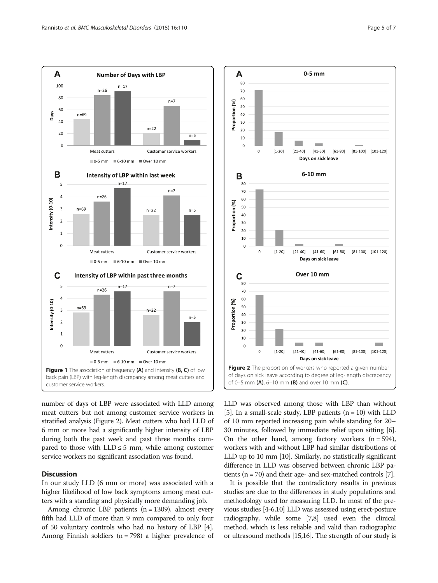<span id="page-4-0"></span>

number of days of LBP were associated with LLD among meat cutters but not among customer service workers in stratified analysis (Figure 2). Meat cutters who had LLD of 6 mm or more had a significantly higher intensity of LBP during both the past week and past three months compared to those with  $LLD \leq 5$  mm, while among customer service workers no significant association was found.

# **Discussion**

In our study LLD (6 mm or more) was associated with a higher likelihood of low back symptoms among meat cutters with a standing and physically more demanding job.

Among chronic LBP patients  $(n = 1309)$ , almost every fifth had LLD of more than 9 mm compared to only four of 50 voluntary controls who had no history of LBP [[4](#page-6-0)]. Among Finnish soldiers  $(n = 798)$  a higher prevalence of



LLD was observed among those with LBP than without [[5](#page-6-0)]. In a small-scale study, LBP patients  $(n = 10)$  with LLD of 10 mm reported increasing pain while standing for 20– 30 minutes, followed by immediate relief upon sitting [[6](#page-6-0)]. On the other hand, among factory workers  $(n = 594)$ , workers with and without LBP had similar distributions of LLD up to 10 mm [\[10\]](#page-6-0). Similarly, no statistically significant difference in LLD was observed between chronic LBP patients (n = 70) and their age- and sex-matched controls [\[7\]](#page-6-0).

It is possible that the contradictory results in previous studies are due to the differences in study populations and methodology used for measuring LLD. In most of the previous studies [\[4](#page-6-0)-[6,10\]](#page-6-0) LLD was assessed using erect-posture radiography, while some [\[7,8\]](#page-6-0) used even the clinical method, which is less reliable and valid than radiographic or ultrasound methods [\[15,16](#page-6-0)]. The strength of our study is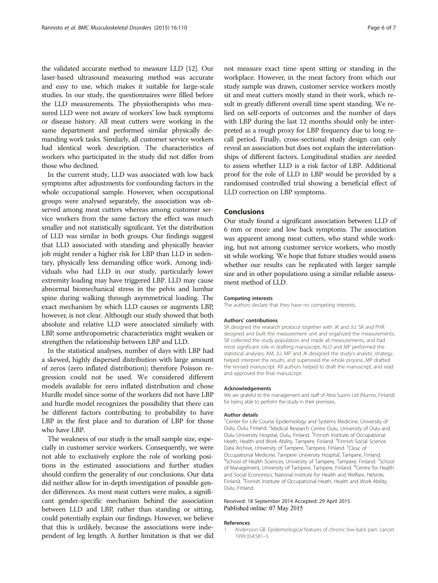<span id="page-5-0"></span>the validated accurate method to measure LLD [\[12](#page-6-0)]. Our laser-based ultrasound measuring method was accurate and easy to use, which makes it suitable for large-scale studies. In our study, the questionnaires were filled before the LLD measurements. The physiotherapists who measured LLD were not aware of workers' low back symptoms or disease history. All meat cutters were working in the same department and performed similar physically demanding work tasks. Similarly, all customer service workers had identical work description. The characteristics of workers who participated in the study did not differ from those who declined.

In the current study, LLD was associated with low back symptoms after adjustments for confounding factors in the whole occupational sample. However, when occupational groups were analysed separately, the association was observed among meat cutters whereas among customer service workers from the same factory the effect was much smaller and not statistically significant. Yet the distribution of LLD was similar in both groups. Our findings suggest that LLD associated with standing and physically heavier job might render a higher risk for LBP than LLD in sedentary, physically less demanding office work. Among individuals who had LLD in our study, particularly lower extremity loading may have triggered LBP. LLD may cause abnormal biomechanical stress in the pelvis and lumbar spine during walking through asymmetrical loading. The exact mechanism by which LLD causes or augments LBP, however, is not clear. Although our study showed that both absolute and relative LLD were associated similarly with LBP, some anthropometric characteristics might weaken or strengthen the relationship between LBP and LLD.

In the statistical analyses, number of days with LBP had a skewed, highly dispersed distribution with large amount of zeros (zero inflated distribution); therefore Poisson regression could not be used. We considered different models available for zero inflated distribution and chose Hurdle model since some of the workers did not have LBP and hurdle model recognizes the possibility that there can be different factors contributing to probability to have LBP in the first place and to duration of LBP for those who have LBP.

The weakness of our study is the small sample size, especially in customer service workers. Consequently, we were not able to exclusively explore the role of working positions in the estimated associations and further studies should confirm the generality of our conclusions. Our data did neither allow for in-depth investigation of possible gender differences. As most meat cutters were males, a significant gender-specific mechanism behind the association between LLD and LBP, rather than standing or sitting, could potentially explain our findings. However, we believe that this is unlikely, because the associations were independent of leg length. A further limitation is that we did

not measure exact time spent sitting or standing in the workplace. However, in the meat factory from which our study sample was drawn, customer service workers mostly sit and meat cutters mostly stand in their work, which result in greatly different overall time spent standing. We relied on self-reports of outcomes and the number of days with LBP during the last 12 months should only be interpreted as a rough proxy for LBP frequency due to long recall period. Finally, cross-sectional study design can only reveal an association but does not explain the interrelationships of different factors. Longitudinal studies are needed to assess whether LLD is a risk factor of LBP. Additional proof for the role of LLD in LBP would be provided by a randomised controlled trial showing a beneficial effect of LLD correction on LBP symptoms.

### Conclusions

Our study found a significant association between LLD of 6 mm or more and low back symptoms. The association was apparent among meat cutters, who stand while working, but not among customer service workers, who mostly sit while working. We hope that future studies would assess whether our results can be replicated with larger sample size and in other populations using a similar reliable assessment method of LLD.

#### Competing interests

The authors declare that they have no competing interests.

#### Authors' contributions

SR designed the research protocol together with JK and JU; SR and PHR designed and built the measurement unit and organized the measurements; SR collected the study population and made all measurements, and had most significant role in drafting manuscript; ALO and MP performed the statistical analyses; AM, JU, MP and JK designed the study's analytic strategy, helped interpret the results, and supervised the whole process. MP drafted the revised manuscript. All authors helped to draft the manuscript, and read and approved the final manuscript.

#### Acknowledgements

We are grateful to the management and staff of Atria Suomi Ltd (Nurmo, Finland) for being able to perform the study in their premises.

#### Author details

<sup>1</sup> Center for Life Course Epidemiology and Systems Medicine, University of Oulu, Oulu, Finland. <sup>2</sup>Medical Research Centre Oulu, University of Oulu and Oulu University Hospital, Oulu, Finland. <sup>3</sup> Finnish Institute of Occupational Heath, Health and Work Ability, Tampere, Finland. <sup>4</sup>Finnish Social Science Data Archive, University of Tampere, Tampere, Finland. <sup>5</sup>Clinic of Occupational Medicine, Tampere University Hospital, Tampere, Finland. <sup>6</sup>School of Health Sciences, University of Tampere, Tampere, Finland. <sup>7</sup>School of Management, University of Tampere, Tampere, Finland. <sup>8</sup>Centre for Health and Social Economics, National Institute for Health and Welfare, Helsinki, Finland. <sup>9</sup>Finnish Institute of Occupational Heath, Health and Work Ability Oulu, Finland.

#### Received: 18 September 2014 Accepted: 29 April 2015 Published online: 07 May 2015

#### References

1. Andersson GB. Epidemiological features of chronic low-back pain. Lancet. 1999;354:581–5.